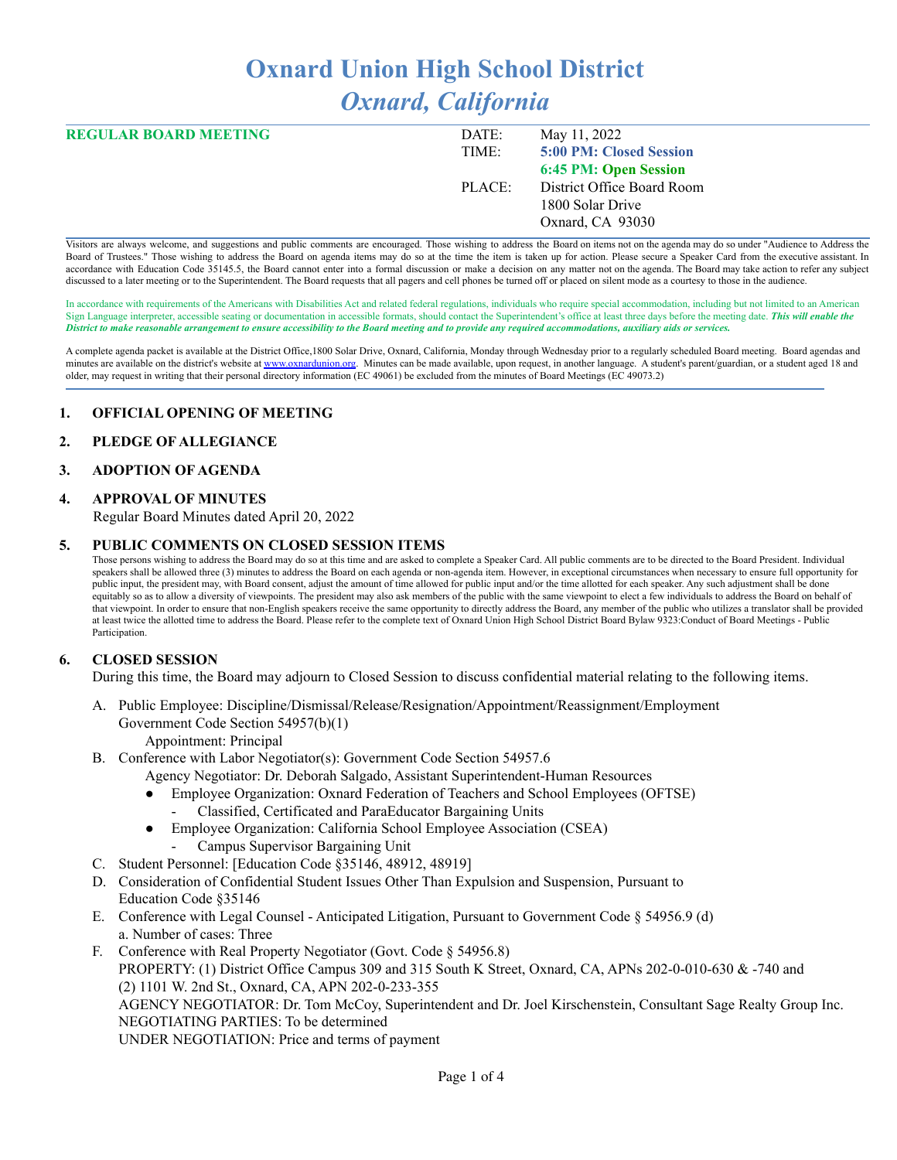# **Oxnard Union High School District** *Oxnard, California*

| <b>REGULAR BOARD MEETING</b> | DATE:  | May 11, 2022               |
|------------------------------|--------|----------------------------|
|                              | TIME:  | 5:00 PM: Closed Session    |
|                              |        | 6:45 PM: Open Session      |
|                              | PLACE: | District Office Board Room |
|                              |        | 1800 Solar Drive           |
|                              |        | Oxnard, CA 93030           |
|                              |        |                            |

Visitors are always welcome, and suggestions and public comments are encouraged. Those wishing to address the Board on items not on the agenda may do so under "Audience to Address the Board of Trustees." Those wishing to address the Board on agenda items may do so at the time the item is taken up for action. Please secure a Speaker Card from the executive assistant. In accordance with Education Code 35145.5, the Board cannot enter into a formal discussion or make a decision on any matter not on the agenda. The Board may take action to refer any subject discussed to a later meeting or to the Superintendent. The Board requests that all pagers and cell phones be turned off or placed on silent mode as a courtesy to those in the audience.

In accordance with requirements of the Americans with Disabilities Act and related federal regulations, individuals who require special accommodation, including but not limited to an American Sign Language interpreter, accessible seating or documentation in accessible formats, should contact the Superintendent's office at least three days before the meeting date. *This will enable the* District to make reasonable arrangement to ensure accessibility to the Board meeting and to provide any required accommodations, auxiliary aids or services.

A complete agenda packet is available at the District Office,1800 Solar Drive, Oxnard, California, Monday through Wednesday prior to a regularly scheduled Board meeting. Board agendas and minutes are available on the district's website at [www.o](http://www.o)xnardunion.org. Minutes can be made available, upon request, in another language. A student's parent/guardian, or a student aged 18 and older, may request in writing that their personal directory information (EC 49061) be excluded from the minutes of Board Meetings (EC 49073.2)

#### **1. OFFICIAL OPENING OF MEETING**

#### **2. PLEDGE OF ALLEGIANCE**

#### **3. ADOPTION OF AGENDA**

#### **4. APPROVAL OF MINUTES**

Regular Board Minutes dated April 20, 2022

#### **5. PUBLIC COMMENTS ON CLOSED SESSION ITEMS**

Those persons wishing to address the Board may do so at this time and are asked to complete a Speaker Card. All public comments are to be directed to the Board President. Individual speakers shall be allowed three (3) minutes to address the Board on each agenda or non-agenda item. However, in exceptional circumstances when necessary to ensure full opportunity for public input, the president may, with Board consent, adjust the amount of time allowed for public input and/or the time allotted for each speaker. Any such adjustment shall be done equitably so as to allow a diversity of viewpoints. The president may also ask members of the public with the same viewpoint to elect a few individuals to address the Board on behalf of that viewpoint. In order to ensure that non-English speakers receive the same opportunity to directly address the Board, any member of the public who utilizes a translator shall be provided at least twice the allotted time to address the Board. Please refer to the complete text of Oxnard Union High School District Board Bylaw 9323:Conduct of Board Meetings - Public Participation.

### **6. CLOSED SESSION**

During this time, the Board may adjourn to Closed Session to discuss confidential material relating to the following items.

- A. Public Employee: Discipline/Dismissal/Release/Resignation/Appointment/Reassignment/Employment Government Code Section 54957(b)(1)
	- Appointment: Principal
- B. Conference with Labor Negotiator(s): Government Code Section 54957.6

Agency Negotiator: Dr. Deborah Salgado, Assistant Superintendent-Human Resources

- Employee Organization: Oxnard Federation of Teachers and School Employees (OFTSE)
- Classified, Certificated and ParaEducator Bargaining Units
- Employee Organization: California School Employee Association (CSEA) - Campus Supervisor Bargaining Unit
- C. Student Personnel: [Education Code §35146, 48912, 48919]
- D. Consideration of Confidential Student Issues Other Than Expulsion and Suspension, Pursuant to Education Code §35146
- E. Conference with Legal Counsel Anticipated Litigation, Pursuant to Government Code § 54956.9 (d) a. Number of cases: Three
- F. Conference with Real Property Negotiator (Govt. Code § 54956.8) PROPERTY: (1) District Office Campus 309 and 315 South K Street, Oxnard, CA, APNs 202-0-010-630 & -740 and (2) 1101 W. 2nd St., Oxnard, CA, APN 202-0-233-355 AGENCY NEGOTIATOR: Dr. Tom McCoy, Superintendent and Dr. Joel Kirschenstein, Consultant Sage Realty Group Inc. NEGOTIATING PARTIES: To be determined UNDER NEGOTIATION: Price and terms of payment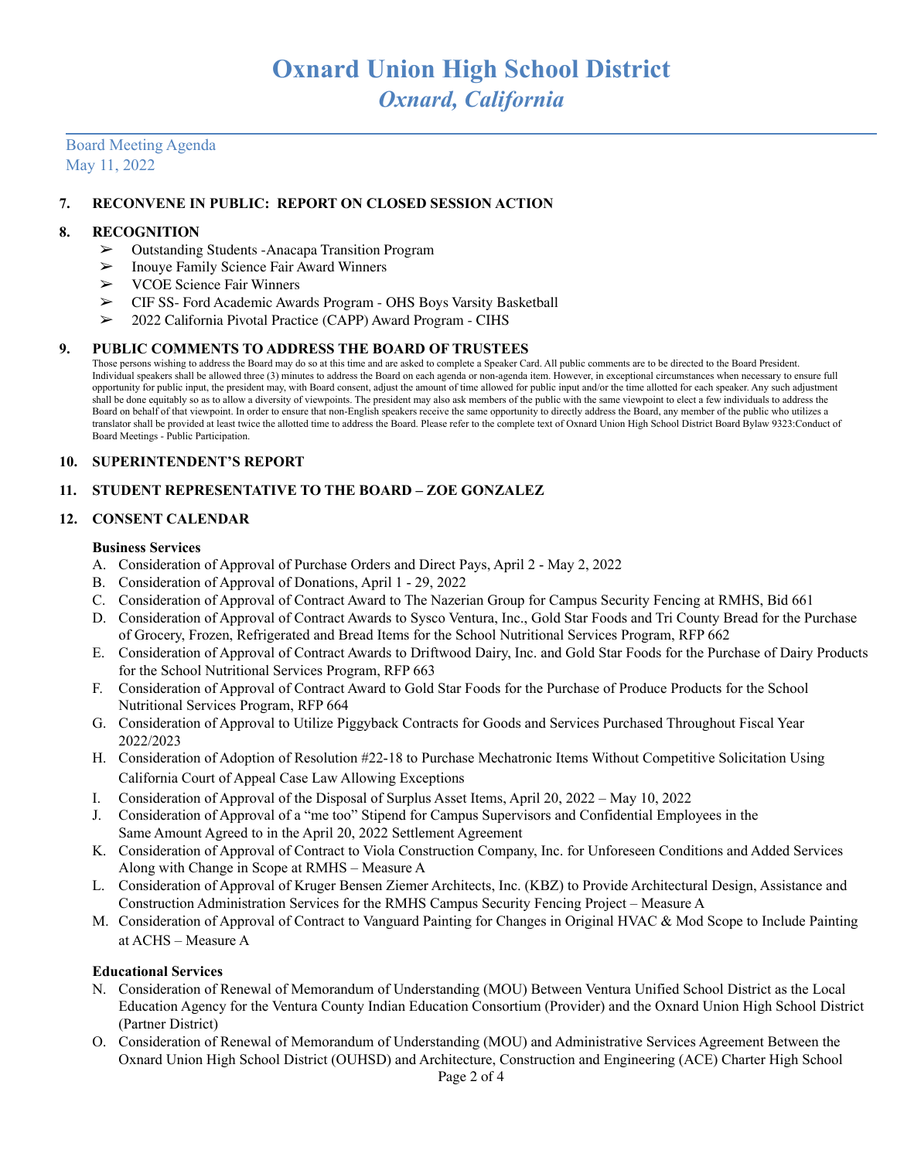## Board Meeting Agenda May 11, 2022

### **7. RECONVENE IN PUBLIC: REPORT ON CLOSED SESSION ACTION**

#### **8. RECOGNITION**

- ➢ Outstanding Students -Anacapa Transition Program
- $\geq$  Inouye Family Science Fair Award Winners<br> $\geq$  VCOE Science Fair Winners
- ➢ VCOE Science Fair Winners
- ► CIF SS- Ford Academic Awards Program OHS Boys Varsity Basketball<br>► 2022 California Pivotal Practice (CAPP) Award Program CIHS
- ➢ 2022 California Pivotal Practice (CAPP) Award Program CIHS

#### **9. PUBLIC COMMENTS TO ADDRESS THE BOARD OF TRUSTEES**

Those persons wishing to address the Board may do so at this time and are asked to complete a Speaker Card. All public comments are to be directed to the Board President. Individual speakers shall be allowed three (3) minutes to address the Board on each agenda or non-agenda item. However, in exceptional circumstances when necessary to ensure full opportunity for public input, the president may, with Board consent, adjust the amount of time allowed for public input and/or the time allotted for each speaker. Any such adjustment shall be done equitably so as to allow a diversity of viewpoints. The president may also ask members of the public with the same viewpoint to elect a few individuals to address the Board on behalf of that viewpoint. In order to ensure that non-English speakers receive the same opportunity to directly address the Board, any member of the public who utilizes a translator shall be provided at least twice the allotted time to address the Board. Please refer to the complete text of Oxnard Union High School District Board Bylaw 9323:Conduct of Board Meetings - Public Participation.

#### **10. SUPERINTENDENT'S REPORT**

### **11. STUDENT REPRESENTATIVE TO THE BOARD – ZOE GONZALEZ**

### **12. CONSENT CALENDAR**

#### **Business Services**

- A. Consideration of Approval of Purchase Orders and Direct Pays, April 2 May 2, 2022
- B. Consideration of Approval of Donations, April 1 29, 2022
- C. Consideration of Approval of Contract Award to The Nazerian Group for Campus Security Fencing at RMHS, Bid 661
- D. Consideration of Approval of Contract Awards to Sysco Ventura, Inc., Gold Star Foods and Tri County Bread for the Purchase of Grocery, Frozen, Refrigerated and Bread Items for the School Nutritional Services Program, RFP 662
- E. Consideration of Approval of Contract Awards to Driftwood Dairy, Inc. and Gold Star Foods for the Purchase of Dairy Products for the School Nutritional Services Program, RFP 663
- F. Consideration of Approval of Contract Award to Gold Star Foods for the Purchase of Produce Products for the School Nutritional Services Program, RFP 664
- G. Consideration of Approval to Utilize Piggyback Contracts for Goods and Services Purchased Throughout Fiscal Year 2022/2023
- H. Consideration of Adoption of Resolution #22-18 to Purchase Mechatronic Items Without Competitive Solicitation Using California Court of Appeal Case Law Allowing Exceptions
- I. Consideration of Approval of the Disposal of Surplus Asset Items, April 20, 2022 May 10, 2022
- J. Consideration of Approval of a "me too" Stipend for Campus Supervisors and Confidential Employees in the Same Amount Agreed to in the April 20, 2022 Settlement Agreement
- K. Consideration of Approval of Contract to Viola Construction Company, Inc. for Unforeseen Conditions and Added Services Along with Change in Scope at RMHS – Measure A
- L. Consideration of Approval of Kruger Bensen Ziemer Architects, Inc. (KBZ) to Provide Architectural Design, Assistance and Construction Administration Services for the RMHS Campus Security Fencing Project – Measure A
- M. Consideration of Approval of Contract to Vanguard Painting for Changes in Original HVAC & Mod Scope to Include Painting at ACHS – Measure A

### **Educational Services**

- N. Consideration of Renewal of Memorandum of Understanding (MOU) Between Ventura Unified School District as the Local Education Agency for the Ventura County Indian Education Consortium (Provider) and the Oxnard Union High School District (Partner District)
- O. Consideration of Renewal of Memorandum of Understanding (MOU) and Administrative Services Agreement Between the Oxnard Union High School District (OUHSD) and Architecture, Construction and Engineering (ACE) Charter High School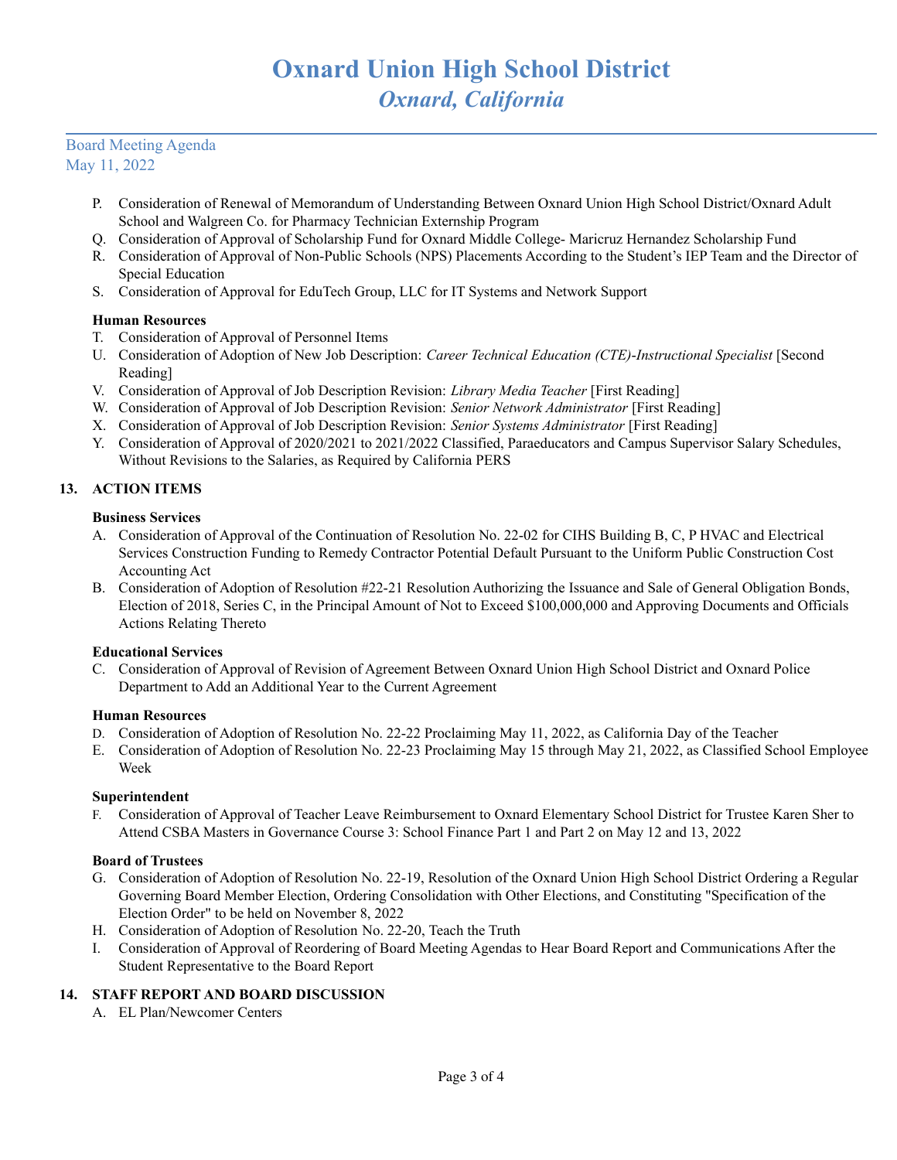## Board Meeting Agenda May 11, 2022

- P. Consideration of Renewal of Memorandum of Understanding Between Oxnard Union High School District/Oxnard Adult School and Walgreen Co. for Pharmacy Technician Externship Program
- Q. Consideration of Approval of Scholarship Fund for Oxnard Middle College- Maricruz Hernandez Scholarship Fund
- R. Consideration of Approval of Non-Public Schools (NPS) Placements According to the Student's IEP Team and the Director of Special Education
- S. Consideration of Approval for EduTech Group, LLC for IT Systems and Network Support

## **Human Resources**

- T. Consideration of Approval of Personnel Items
- U. Consideration of Adoption of New Job Description: *Career Technical Education (CTE)*-*Instructional Specialist* [Second Reading]
- V. Consideration of Approval of Job Description Revision: *Library Media Teacher* [First Reading]
- W. Consideration of Approval of Job Description Revision: *Senior Network Administrator* [First Reading]
- X. Consideration of Approval of Job Description Revision: *Senior Systems Administrator* [First Reading]
- Y. Consideration of Approval of 2020/2021 to 2021/2022 Classified, Paraeducators and Campus Supervisor Salary Schedules, Without Revisions to the Salaries, as Required by California PERS

## **13. ACTION ITEMS**

## **Business Services**

- A. Consideration of Approval of the Continuation of Resolution No. 22-02 for CIHS Building B, C, P HVAC and Electrical Services Construction Funding to Remedy Contractor Potential Default Pursuant to the Uniform Public Construction Cost Accounting Act
- B. Consideration of Adoption of Resolution #22-21 Resolution Authorizing the Issuance and Sale of General Obligation Bonds, Election of 2018, Series C, in the Principal Amount of Not to Exceed \$100,000,000 and Approving Documents and Officials Actions Relating Thereto

### **Educational Services**

C. Consideration of Approval of Revision of Agreement Between Oxnard Union High School District and Oxnard Police Department to Add an Additional Year to the Current Agreement

### **Human Resources**

- D. Consideration of Adoption of Resolution No. 22-22 Proclaiming May 11, 2022, as California Day of the Teacher
- E. Consideration of Adoption of Resolution No. 22-23 Proclaiming May 15 through May 21, 2022, as Classified School Employee Week

## **Superintendent**

F. Consideration of Approval of Teacher Leave Reimbursement to Oxnard Elementary School District for Trustee Karen Sher to Attend CSBA Masters in Governance Course 3: School Finance Part 1 and Part 2 on May 12 and 13, 2022

### **Board of Trustees**

- G. Consideration of Adoption of Resolution No. 22-19, Resolution of the Oxnard Union High School District Ordering a Regular Governing Board Member Election, Ordering Consolidation with Other Elections, and Constituting "Specification of the Election Order" to be held on November 8, 2022
- H. Consideration of Adoption of Resolution No. 22-20, Teach the Truth
- I. Consideration of Approval of Reordering of Board Meeting Agendas to Hear Board Report and Communications After the Student Representative to the Board Report

## **14. STAFF REPORT AND BOARD DISCUSSION**

A. EL Plan/Newcomer Centers